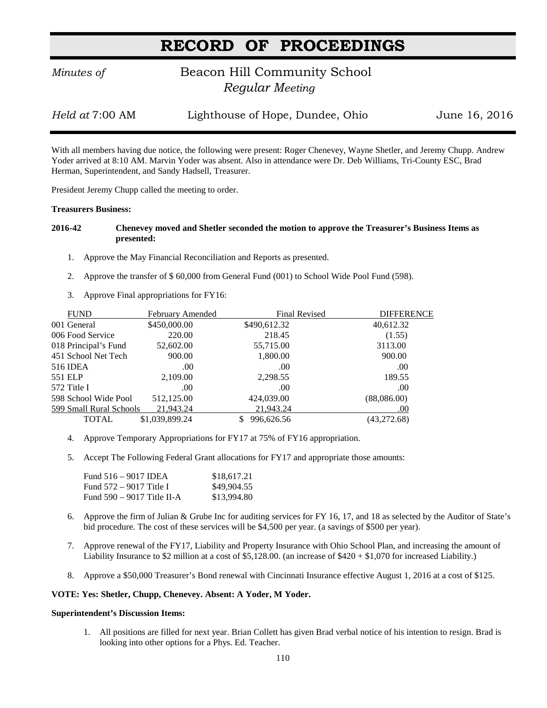# **RECORD OF PROCEEDINGS**

## *Minutes of* **Beacon Hill Community School**  *Regular Meeting*

*Held at* 7:00 AM Lighthouse of Hope, Dundee, Ohio June 16, 2016

With all members having due notice, the following were present: Roger Chenevey, Wayne Shetler, and Jeremy Chupp. Andrew Yoder arrived at 8:10 AM. Marvin Yoder was absent. Also in attendance were Dr. Deb Williams, Tri-County ESC, Brad Herman, Superintendent, and Sandy Hadsell, Treasurer.

President Jeremy Chupp called the meeting to order.

#### **Treasurers Business:**

### **2016-42 Chenevey moved and Shetler seconded the motion to approve the Treasurer's Business Items as presented:**

- 1. Approve the May Financial Reconciliation and Reports as presented.
- 2. Approve the transfer of \$ 60,000 from General Fund (001) to School Wide Pool Fund (598).
- 3. Approve Final appropriations for FY16:

| <b>FUND</b>             | <b>February Amended</b> | Final Revised | <b>DIFFERENCE</b> |
|-------------------------|-------------------------|---------------|-------------------|
| 001 General             | \$450,000.00            | \$490,612.32  | 40,612.32         |
| 006 Food Service        | 220.00                  | 218.45        | (1.55)            |
| 018 Principal's Fund    | 52,602.00               | 55,715.00     | 3113.00           |
| 451 School Net Tech     | 900.00                  | 1,800.00      | 900.00            |
| 516 IDEA                | .00                     | .00           | .00               |
| 551 ELP                 | 2,109.00                | 2,298.55      | 189.55            |
| 572 Title I             | .00                     | .00           | .00               |
| 598 School Wide Pool    | 512,125.00              | 424,039.00    | (88,086,00)       |
| 599 Small Rural Schools | 21,943.24               | 21,943.24     | .00               |
| TOTAL                   | \$1,039,899.24          | 996,626.56    | (43,272.68)       |

- 4. Approve Temporary Appropriations for FY17 at 75% of FY16 appropriation.
- 5. Accept The Following Federal Grant allocations for FY17 and appropriate those amounts:

| Fund 516 – 9017 IDEA         | \$18,617.21 |
|------------------------------|-------------|
| Fund 572 – 9017 Title I      | \$49,904.55 |
| Fund $590 - 9017$ Title II-A | \$13,994.80 |

- 6. Approve the firm of Julian & Grube Inc for auditing services for FY 16, 17, and 18 as selected by the Auditor of State's bid procedure. The cost of these services will be \$4,500 per year. (a savings of \$500 per year).
- 7. Approve renewal of the FY17, Liability and Property Insurance with Ohio School Plan, and increasing the amount of Liability Insurance to \$2 million at a cost of \$5,128.00. (an increase of \$420 + \$1,070 for increased Liability.)
- 8. Approve a \$50,000 Treasurer's Bond renewal with Cincinnati Insurance effective August 1, 2016 at a cost of \$125.

### **VOTE: Yes: Shetler, Chupp, Chenevey. Absent: A Yoder, M Yoder.**

#### **Superintendent's Discussion Items:**

1. All positions are filled for next year. Brian Collett has given Brad verbal notice of his intention to resign. Brad is looking into other options for a Phys. Ed. Teacher.